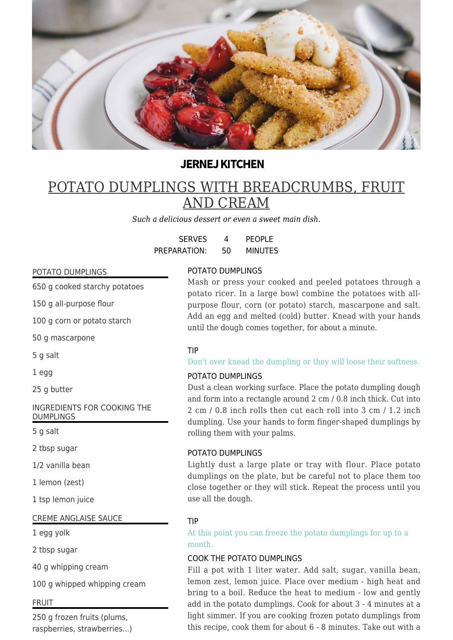

# **JERNEJ KITCHEN**

# POTATO DUMPLINGS WITH BREADCRUMBS, FRUIT AND CREAM

*Such a delicious dessert or even a sweet main dish.*

| <b>SERVES</b> | 4  | <b>PEOPLE</b>  |
|---------------|----|----------------|
| PREPARATION:  | 50 | <b>MINUTES</b> |

### POTATO DUMPLINGS

650 g cooked starchy potatoes

150 g all-purpose flour

100 g corn or potato starch

50 g mascarpone

5 g salt

1 egg

25 g butter

INGREDIENTS FOR COOKING THE DUMPLINGS

5 g salt

2 tbsp sugar

1/2 vanilla bean

1 lemon (zest)

1 tsp lemon juice

### CREME ANGLAISE SAUCE

1 egg yolk

2 tbsp sugar

40 g whipping cream

100 g whipped whipping cream

### FRUIT

250 g frozen fruits (plums, raspberries, strawberries...)

## POTATO DUMPLINGS

Mash or press your cooked and peeled potatoes through a potato ricer. In a large bowl combine the potatoes with allpurpose flour, corn (or potato) starch, mascarpone and salt. Add an egg and melted (cold) butter. Knead with your hands until the dough comes together, for about a minute.

### TIP

### Don't over knead the dumpling or they will loose their softness.

### POTATO DUMPLINGS

Dust a clean working surface. Place the potato dumpling dough and form into a rectangle around 2 cm / 0.8 inch thick. Cut into 2 cm / 0.8 inch rolls then cut each roll into 3 cm / 1.2 inch dumpling. Use your hands to form finger-shaped dumplings by rolling them with your palms.

### POTATO DUMPLINGS

Lightly dust a large plate or tray with flour. Place potato dumplings on the plate, but be careful not to place them too close together or they will stick. Repeat the process until you use all the dough.

### TIP

At this point you can freeze the potato dumplings for up to a month.

### COOK THE POTATO DUMPLINGS

Fill a pot with 1 liter water. Add salt, sugar, vanilla bean, lemon zest, lemon juice. Place over medium - high heat and bring to a boil. Reduce the heat to medium - low and gently add in the potato dumplings. Cook for about 3 - 4 minutes at a light simmer. If you are cooking frozen potato dumplings from this recipe, cook them for about 6 - 8 minutes. Take out with a